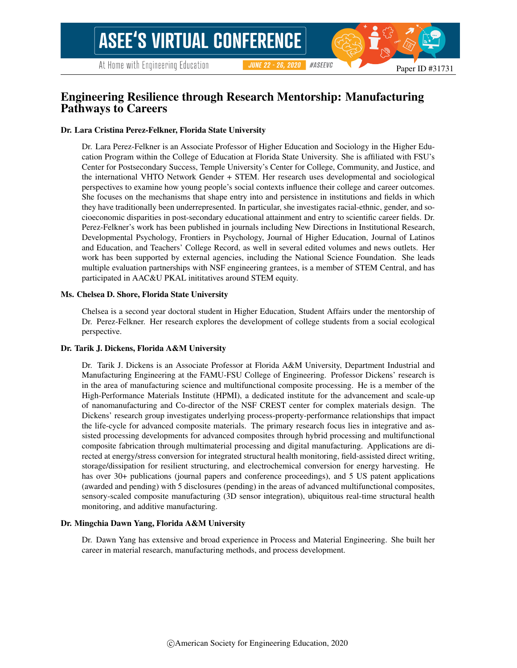#### #ASEEVC **JUNE 22 - 26, 2020**

Paper ID #31731

### Engineering Resilience through Research Mentorship: Manufacturing Pathways to Careers

### Dr. Lara Cristina Perez-Felkner, Florida State University

Dr. Lara Perez-Felkner is an Associate Professor of Higher Education and Sociology in the Higher Education Program within the College of Education at Florida State University. She is affiliated with FSU's Center for Postsecondary Success, Temple University's Center for College, Community, and Justice, and the international VHTO Network Gender + STEM. Her research uses developmental and sociological perspectives to examine how young people's social contexts influence their college and career outcomes. She focuses on the mechanisms that shape entry into and persistence in institutions and fields in which they have traditionally been underrepresented. In particular, she investigates racial-ethnic, gender, and socioeconomic disparities in post-secondary educational attainment and entry to scientific career fields. Dr. Perez-Felkner's work has been published in journals including New Directions in Institutional Research, Developmental Psychology, Frontiers in Psychology, Journal of Higher Education, Journal of Latinos and Education, and Teachers' College Record, as well in several edited volumes and news outlets. Her work has been supported by external agencies, including the National Science Foundation. She leads multiple evaluation partnerships with NSF engineering grantees, is a member of STEM Central, and has participated in AAC&U PKAL inititatives around STEM equity.

### Ms. Chelsea D. Shore, Florida State University

Chelsea is a second year doctoral student in Higher Education, Student Affairs under the mentorship of Dr. Perez-Felkner. Her research explores the development of college students from a social ecological perspective.

### Dr. Tarik J. Dickens, Florida A&M University

Dr. Tarik J. Dickens is an Associate Professor at Florida A&M University, Department Industrial and Manufacturing Engineering at the FAMU-FSU College of Engineering. Professor Dickens' research is in the area of manufacturing science and multifunctional composite processing. He is a member of the High-Performance Materials Institute (HPMI), a dedicated institute for the advancement and scale-up of nanomanufacturing and Co-director of the NSF CREST center for complex materials design. The Dickens' research group investigates underlying process-property-performance relationships that impact the life-cycle for advanced composite materials. The primary research focus lies in integrative and assisted processing developments for advanced composites through hybrid processing and multifunctional composite fabrication through multimaterial processing and digital manufacturing. Applications are directed at energy/stress conversion for integrated structural health monitoring, field-assisted direct writing, storage/dissipation for resilient structuring, and electrochemical conversion for energy harvesting. He has over 30+ publications (journal papers and conference proceedings), and 5 US patent applications (awarded and pending) with 5 disclosures (pending) in the areas of advanced multifunctional composites, sensory-scaled composite manufacturing (3D sensor integration), ubiquitous real-time structural health monitoring, and additive manufacturing.

### Dr. Mingchia Dawn Yang, Florida A&M University

Dr. Dawn Yang has extensive and broad experience in Process and Material Engineering. She built her career in material research, manufacturing methods, and process development.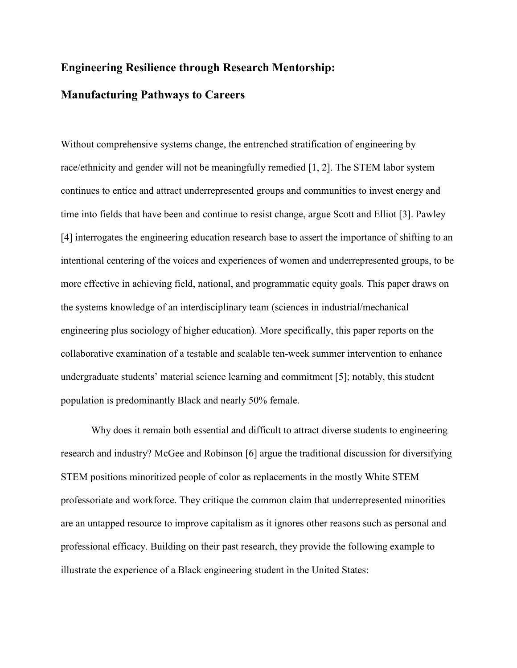### **Engineering Resilience through Research Mentorship:**

### **Manufacturing Pathways to Careers**

Without comprehensive systems change, the entrenched stratification of engineering by race/ethnicity and gender will not be meaningfully remedied [\[1,](#page-13-0) [2\]](#page-13-1). The STEM labor system continues to entice and attract underrepresented groups and communities to invest energy and time into fields that have been and continue to resist change, argue Scott and Elliot [\[3\]](#page-13-2). Pawley [\[4\]](#page-13-3) interrogates the engineering education research base to assert the importance of shifting to an intentional centering of the voices and experiences of women and underrepresented groups, to be more effective in achieving field, national, and programmatic equity goals. This paper draws on the systems knowledge of an interdisciplinary team (sciences in industrial/mechanical engineering plus sociology of higher education). More specifically, this paper reports on the collaborative examination of a testable and scalable ten-week summer intervention to enhance undergraduate students' material science learning and commitment [\[5\]](#page-13-4); notably, this student population is predominantly Black and nearly 50% female.

Why does it remain both essential and difficult to attract diverse students to engineering research and industry? McGee and Robinson [\[6\]](#page-13-5) argue the traditional discussion for diversifying STEM positions minoritized people of color as replacements in the mostly White STEM professoriate and workforce. They critique the common claim that underrepresented minorities are an untapped resource to improve capitalism as it ignores other reasons such as personal and professional efficacy. Building on their past research, they provide the following example to illustrate the experience of a Black engineering student in the United States: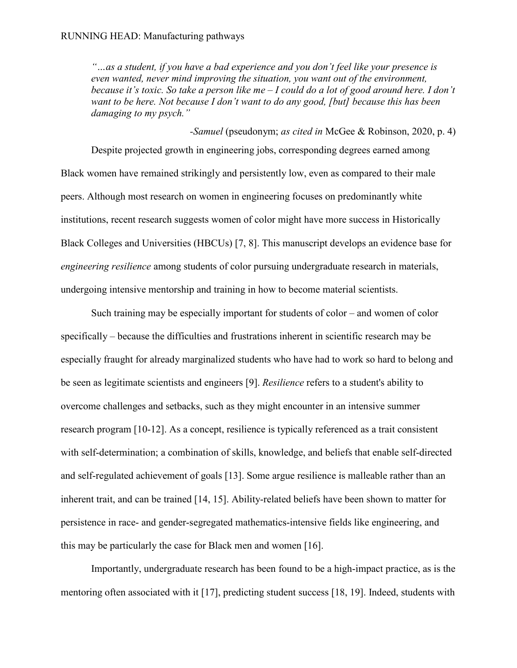*"…as a student, if you have a bad experience and you don't feel like your presence is even wanted, never mind improving the situation, you want out of the environment, because it's toxic. So take a person like me – I could do a lot of good around here. I don't want to be here. Not because I don't want to do any good, [but] because this has been damaging to my psych."*

*-Samuel* (pseudonym; *as cited in* McGee & Robinson, 2020, p. 4) Despite projected growth in engineering jobs, corresponding degrees earned among Black women have remained strikingly and persistently low, even as compared to their male peers. Although most research on women in engineering focuses on predominantly white institutions, recent research suggests women of color might have more success in Historically Black Colleges and Universities (HBCUs) [\[7,](#page-13-6) [8\]](#page-13-7). This manuscript develops an evidence base for *engineering resilience* among students of color pursuing undergraduate research in materials, undergoing intensive mentorship and training in how to become material scientists.

Such training may be especially important for students of color – and women of color specifically – because the difficulties and frustrations inherent in scientific research may be especially fraught for already marginalized students who have had to work so hard to belong and be seen as legitimate scientists and engineers [\[9\]](#page-13-8). *Resilience* refers to a student's ability to overcome challenges and setbacks, such as they might encounter in an intensive summer research program [\[10-12\]](#page-13-9). As a concept, resilience is typically referenced as a trait consistent with self-determination; a combination of skills, knowledge, and beliefs that enable self-directed and self-regulated achievement of goals [\[13\]](#page-13-10). Some argue resilience is malleable rather than an inherent trait, and can be trained [\[14,](#page-13-11) [15\]](#page-13-12). Ability-related beliefs have been shown to matter for persistence in race- and gender-segregated mathematics-intensive fields like engineering, and this may be particularly the case for Black men and women [\[16\]](#page-14-0).

Importantly, undergraduate research has been found to be a high-impact practice, as is the mentoring often associated with it [\[17\]](#page-14-1), predicting student success [\[18,](#page-14-2) [19\]](#page-14-3). Indeed, students with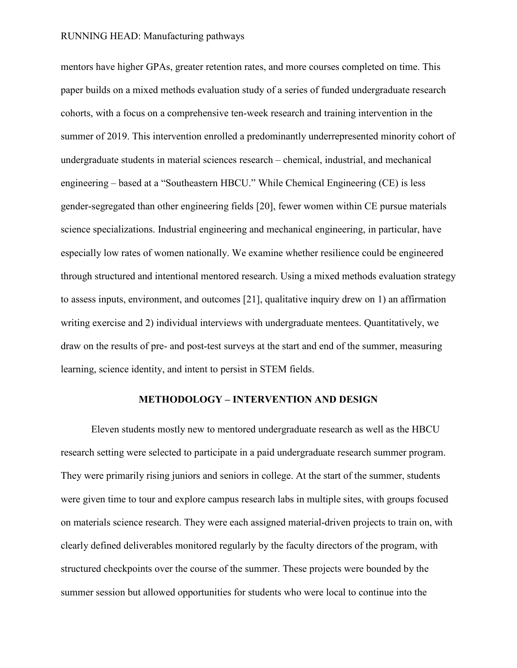mentors have higher GPAs, greater retention rates, and more courses completed on time. This paper builds on a mixed methods evaluation study of a series of funded undergraduate research cohorts, with a focus on a comprehensive ten-week research and training intervention in the summer of 2019. This intervention enrolled a predominantly underrepresented minority cohort of undergraduate students in material sciences research – chemical, industrial, and mechanical engineering – based at a "Southeastern HBCU." While Chemical Engineering (CE) is less gender-segregated than other engineering fields [\[20\]](#page-14-4), fewer women within CE pursue materials science specializations. Industrial engineering and mechanical engineering, in particular, have especially low rates of women nationally. We examine whether resilience could be engineered through structured and intentional mentored research. Using a mixed methods evaluation strategy to assess inputs, environment, and outcomes [\[21\]](#page-14-5), qualitative inquiry drew on 1) an affirmation writing exercise and 2) individual interviews with undergraduate mentees. Quantitatively, we draw on the results of pre- and post-test surveys at the start and end of the summer, measuring learning, science identity, and intent to persist in STEM fields.

### **METHODOLOGY – INTERVENTION AND DESIGN**

Eleven students mostly new to mentored undergraduate research as well as the HBCU research setting were selected to participate in a paid undergraduate research summer program. They were primarily rising juniors and seniors in college. At the start of the summer, students were given time to tour and explore campus research labs in multiple sites, with groups focused on materials science research. They were each assigned material-driven projects to train on, with clearly defined deliverables monitored regularly by the faculty directors of the program, with structured checkpoints over the course of the summer. These projects were bounded by the summer session but allowed opportunities for students who were local to continue into the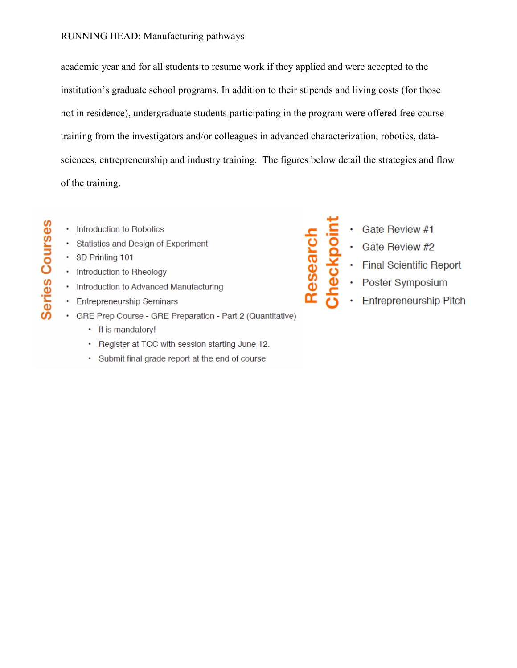academic year and for all students to resume work if they applied and were accepted to the institution's graduate school programs. In addition to their stipends and living costs (for those not in residence), undergraduate students participating in the program were offered free course training from the investigators and/or colleagues in advanced characterization, robotics, datasciences, entrepreneurship and industry training. The figures below detail the strategies and flow of the training.

- Introduction to Robotics
- Statistics and Design of Experiment
- 3D Printing 101

**Series Courses** 

- Introduction to Rheology
- Introduction to Advanced Manufacturing
- **Entrepreneurship Seminars**
- GRE Prep Course GRE Preparation Part 2 (Quantitative)
	- It is mandatory!
	- Register at TCC with session starting June 12.
	- Submit final grade report at the end of course

eckpoint Gate Review #1

Research

- Gate Review #2
- **Final Scientific Report**
- Poster Symposium
- Entrepreneurship Pitch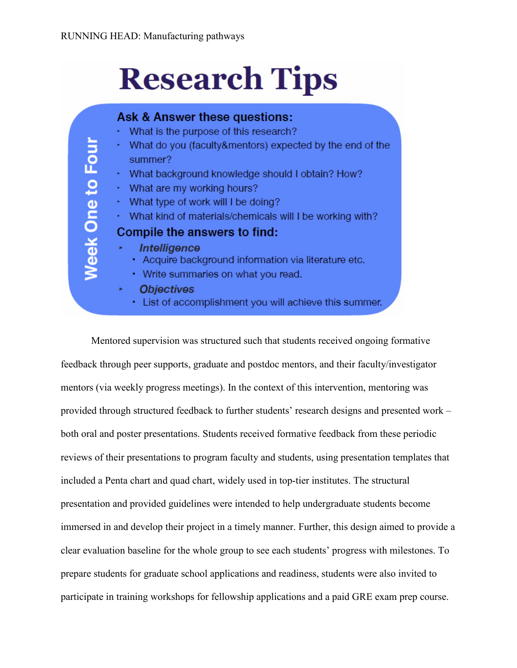# **Research Tips**



Mentored supervision was structured such that students received ongoing formative feedback through peer supports, graduate and postdoc mentors, and their faculty/investigator mentors (via weekly progress meetings). In the context of this intervention, mentoring was provided through structured feedback to further students' research designs and presented work – both oral and poster presentations. Students received formative feedback from these periodic reviews of their presentations to program faculty and students, using presentation templates that included a Penta chart and quad chart, widely used in top-tier institutes. The structural presentation and provided guidelines were intended to help undergraduate students become immersed in and develop their project in a timely manner. Further, this design aimed to provide a clear evaluation baseline for the whole group to see each students' progress with milestones. To prepare students for graduate school applications and readiness, students were also invited to participate in training workshops for fellowship applications and a paid GRE exam prep course.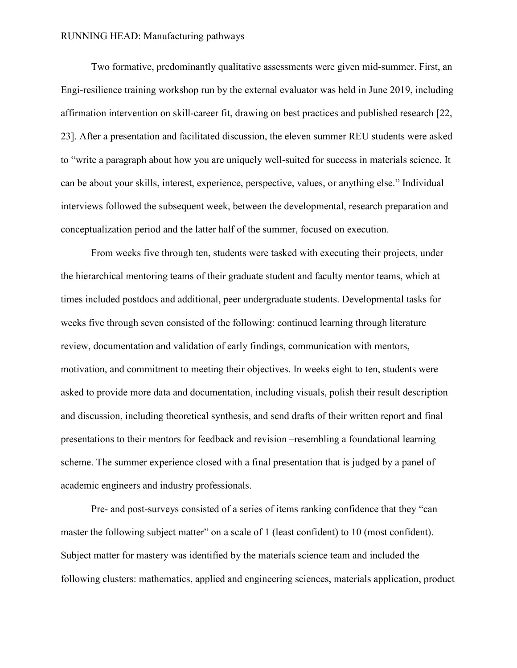Two formative, predominantly qualitative assessments were given mid-summer. First, an Engi-resilience training workshop run by the external evaluator was held in June 2019, including affirmation intervention on skill-career fit, drawing on best practices and published research [\[22,](#page-14-6) [23\]](#page-14-7). After a presentation and facilitated discussion, the eleven summer REU students were asked to "write a paragraph about how you are uniquely well-suited for success in materials science. It can be about your skills, interest, experience, perspective, values, or anything else." Individual interviews followed the subsequent week, between the developmental, research preparation and conceptualization period and the latter half of the summer, focused on execution.

From weeks five through ten, students were tasked with executing their projects, under the hierarchical mentoring teams of their graduate student and faculty mentor teams, which at times included postdocs and additional, peer undergraduate students. Developmental tasks for weeks five through seven consisted of the following: continued learning through literature review, documentation and validation of early findings, communication with mentors, motivation, and commitment to meeting their objectives. In weeks eight to ten, students were asked to provide more data and documentation, including visuals, polish their result description and discussion, including theoretical synthesis, and send drafts of their written report and final presentations to their mentors for feedback and revision –resembling a foundational learning scheme. The summer experience closed with a final presentation that is judged by a panel of academic engineers and industry professionals.

Pre- and post-surveys consisted of a series of items ranking confidence that they "can master the following subject matter" on a scale of 1 (least confident) to 10 (most confident). Subject matter for mastery was identified by the materials science team and included the following clusters: mathematics, applied and engineering sciences, materials application, product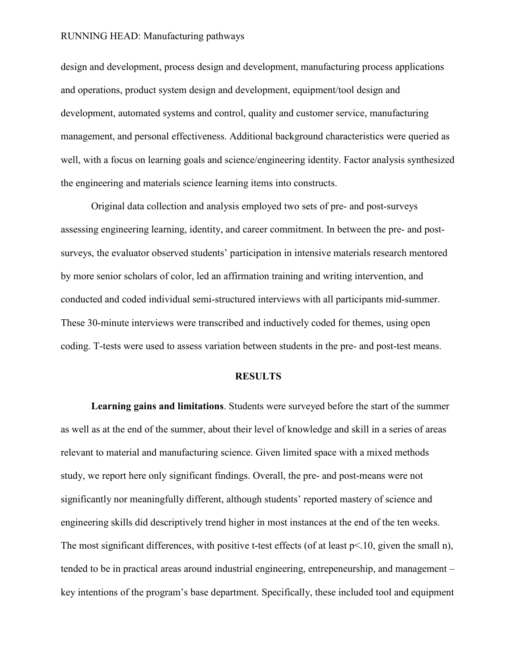design and development, process design and development, manufacturing process applications and operations, product system design and development, equipment/tool design and development, automated systems and control, quality and customer service, manufacturing management, and personal effectiveness. Additional background characteristics were queried as well, with a focus on learning goals and science/engineering identity. Factor analysis synthesized the engineering and materials science learning items into constructs.

Original data collection and analysis employed two sets of pre- and post-surveys assessing engineering learning, identity, and career commitment. In between the pre- and postsurveys, the evaluator observed students' participation in intensive materials research mentored by more senior scholars of color, led an affirmation training and writing intervention, and conducted and coded individual semi-structured interviews with all participants mid-summer. These 30-minute interviews were transcribed and inductively coded for themes, using open coding. T-tests were used to assess variation between students in the pre- and post-test means.

### **RESULTS**

**Learning gains and limitations**. Students were surveyed before the start of the summer as well as at the end of the summer, about their level of knowledge and skill in a series of areas relevant to material and manufacturing science. Given limited space with a mixed methods study, we report here only significant findings. Overall, the pre- and post-means were not significantly nor meaningfully different, although students' reported mastery of science and engineering skills did descriptively trend higher in most instances at the end of the ten weeks. The most significant differences, with positive t-test effects (of at least p<.10, given the small n), tended to be in practical areas around industrial engineering, entrepeneurship, and management – key intentions of the program's base department. Specifically, these included tool and equipment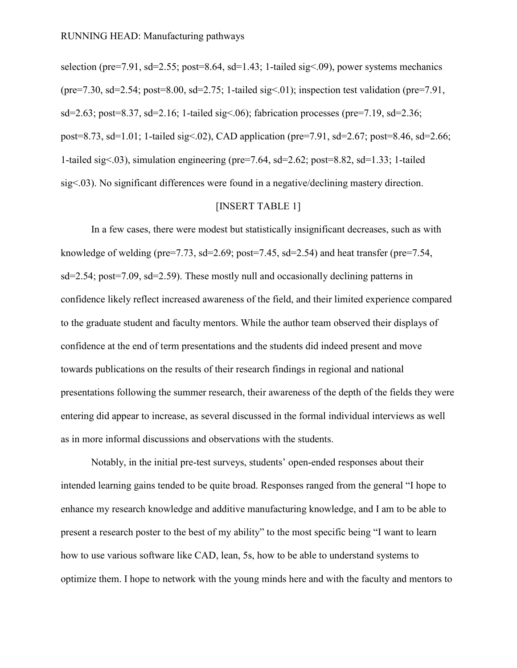selection (pre=7.91, sd=2.55; post=8.64, sd=1.43; 1-tailed sig<.09), power systems mechanics (pre=7.30, sd=2.54; post=8.00, sd=2.75; 1-tailed sig < 01); inspection test validation (pre=7.91, sd=2.63; post=8.37, sd=2.16; 1-tailed sig $\leq$ .06); fabrication processes (pre=7.19, sd=2.36; post=8.73, sd=1.01; 1-tailed sig<.02), CAD application (pre=7.91, sd=2.67; post=8.46, sd=2.66; 1-tailed sig<.03), simulation engineering (pre=7.64, sd=2.62; post=8.82, sd=1.33; 1-tailed sig<.03). No significant differences were found in a negative/declining mastery direction.

### [INSERT TABLE 1]

In a few cases, there were modest but statistically insignificant decreases, such as with knowledge of welding (pre=7.73, sd=2.69; post=7.45, sd=2.54) and heat transfer (pre=7.54, sd=2.54; post=7.09, sd=2.59). These mostly null and occasionally declining patterns in confidence likely reflect increased awareness of the field, and their limited experience compared to the graduate student and faculty mentors. While the author team observed their displays of confidence at the end of term presentations and the students did indeed present and move towards publications on the results of their research findings in regional and national presentations following the summer research, their awareness of the depth of the fields they were entering did appear to increase, as several discussed in the formal individual interviews as well as in more informal discussions and observations with the students.

Notably, in the initial pre-test surveys, students' open-ended responses about their intended learning gains tended to be quite broad. Responses ranged from the general "I hope to enhance my research knowledge and additive manufacturing knowledge, and I am to be able to present a research poster to the best of my ability" to the most specific being "I want to learn how to use various software like CAD, lean, 5s, how to be able to understand systems to optimize them. I hope to network with the young minds here and with the faculty and mentors to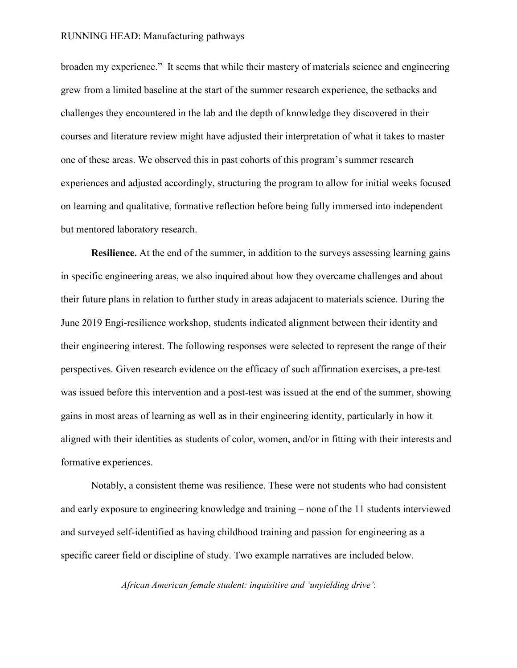broaden my experience." It seems that while their mastery of materials science and engineering grew from a limited baseline at the start of the summer research experience, the setbacks and challenges they encountered in the lab and the depth of knowledge they discovered in their courses and literature review might have adjusted their interpretation of what it takes to master one of these areas. We observed this in past cohorts of this program's summer research experiences and adjusted accordingly, structuring the program to allow for initial weeks focused on learning and qualitative, formative reflection before being fully immersed into independent but mentored laboratory research.

**Resilience.** At the end of the summer, in addition to the surveys assessing learning gains in specific engineering areas, we also inquired about how they overcame challenges and about their future plans in relation to further study in areas adajacent to materials science. During the June 2019 Engi-resilience workshop, students indicated alignment between their identity and their engineering interest. The following responses were selected to represent the range of their perspectives. Given research evidence on the efficacy of such affirmation exercises, a pre-test was issued before this intervention and a post-test was issued at the end of the summer, showing gains in most areas of learning as well as in their engineering identity, particularly in how it aligned with their identities as students of color, women, and/or in fitting with their interests and formative experiences.

Notably, a consistent theme was resilience. These were not students who had consistent and early exposure to engineering knowledge and training – none of the 11 students interviewed and surveyed self-identified as having childhood training and passion for engineering as a specific career field or discipline of study. Two example narratives are included below.

*African American female student: inquisitive and 'unyielding drive'*: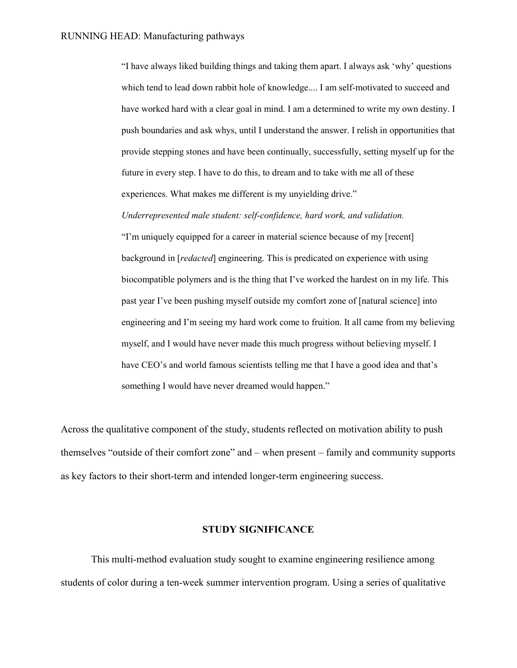"I have always liked building things and taking them apart. I always ask 'why' questions which tend to lead down rabbit hole of knowledge.... I am self-motivated to succeed and have worked hard with a clear goal in mind. I am a determined to write my own destiny. I push boundaries and ask whys, until I understand the answer. I relish in opportunities that provide stepping stones and have been continually, successfully, setting myself up for the future in every step. I have to do this, to dream and to take with me all of these experiences. What makes me different is my unyielding drive."

*Underrepresented male student: self-confidence, hard work, and validation.* 

"I'm uniquely equipped for a career in material science because of my [recent] background in [*redacted*] engineering. This is predicated on experience with using biocompatible polymers and is the thing that I've worked the hardest on in my life. This past year I've been pushing myself outside my comfort zone of [natural science] into engineering and I'm seeing my hard work come to fruition. It all came from my believing myself, and I would have never made this much progress without believing myself. I have CEO's and world famous scientists telling me that I have a good idea and that's something I would have never dreamed would happen."

Across the qualitative component of the study, students reflected on motivation ability to push themselves "outside of their comfort zone" and – when present – family and community supports as key factors to their short-term and intended longer-term engineering success.

### **STUDY SIGNIFICANCE**

This multi-method evaluation study sought to examine engineering resilience among students of color during a ten-week summer intervention program. Using a series of qualitative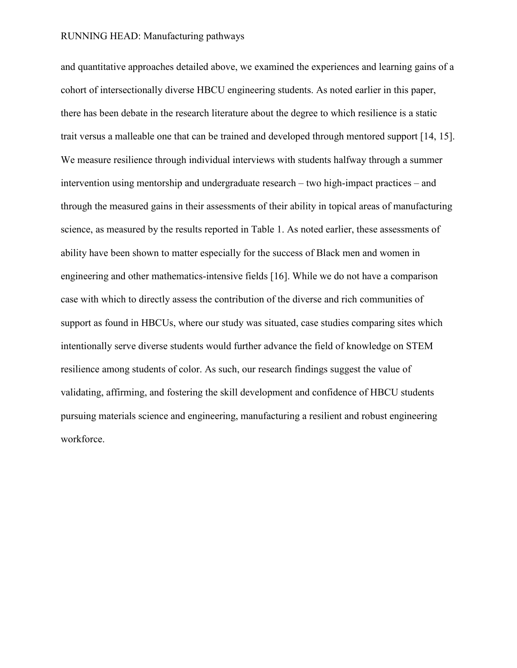and quantitative approaches detailed above, we examined the experiences and learning gains of a cohort of intersectionally diverse HBCU engineering students. As noted earlier in this paper, there has been debate in the research literature about the degree to which resilience is a static trait versus a malleable one that can be trained and developed through mentored support [\[14,](#page-13-11) [15\]](#page-13-12). We measure resilience through individual interviews with students halfway through a summer intervention using mentorship and undergraduate research – two high-impact practices – and through the measured gains in their assessments of their ability in topical areas of manufacturing science, as measured by the results reported in Table 1. As noted earlier, these assessments of ability have been shown to matter especially for the success of Black men and women in engineering and other mathematics-intensive fields [\[16\]](#page-14-0). While we do not have a comparison case with which to directly assess the contribution of the diverse and rich communities of support as found in HBCUs, where our study was situated, case studies comparing sites which intentionally serve diverse students would further advance the field of knowledge on STEM resilience among students of color. As such, our research findings suggest the value of validating, affirming, and fostering the skill development and confidence of HBCU students pursuing materials science and engineering, manufacturing a resilient and robust engineering workforce.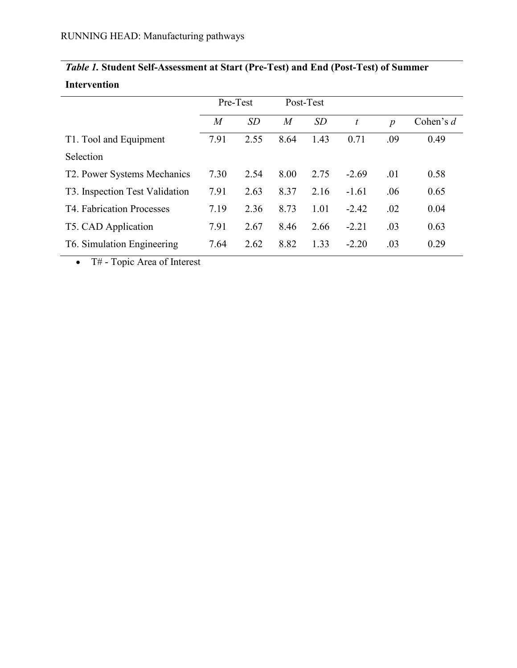|                                | Pre-Test |      | Post-Test      |      |                  |                  |             |
|--------------------------------|----------|------|----------------|------|------------------|------------------|-------------|
|                                | M        | SD   | $\overline{M}$ | SD   | $\boldsymbol{t}$ | $\boldsymbol{p}$ | Cohen's $d$ |
| T1. Tool and Equipment         | 7.91     | 2.55 | 8.64           | 1.43 | 0.71             | .09              | 0.49        |
| Selection                      |          |      |                |      |                  |                  |             |
| T2. Power Systems Mechanics    | 7.30     | 2.54 | 8.00           | 2.75 | $-2.69$          | .01              | 0.58        |
| T3. Inspection Test Validation | 7.91     | 2.63 | 8.37           | 2.16 | $-1.61$          | .06              | 0.65        |
| T4. Fabrication Processes      | 7.19     | 2.36 | 8.73           | 1.01 | $-2.42$          | .02              | 0.04        |
| T5. CAD Application            | 7.91     | 2.67 | 8.46           | 2.66 | $-2.21$          | .03              | 0.63        |
| T6. Simulation Engineering     | 7.64     | 2.62 | 8.82           | 1.33 | $-2.20$          | .03              | 0.29        |

## *Table 1.* **Student Self-Assessment at Start (Pre-Test) and End (Post-Test) of Summer Intervention**

• T# - Topic Area of Interest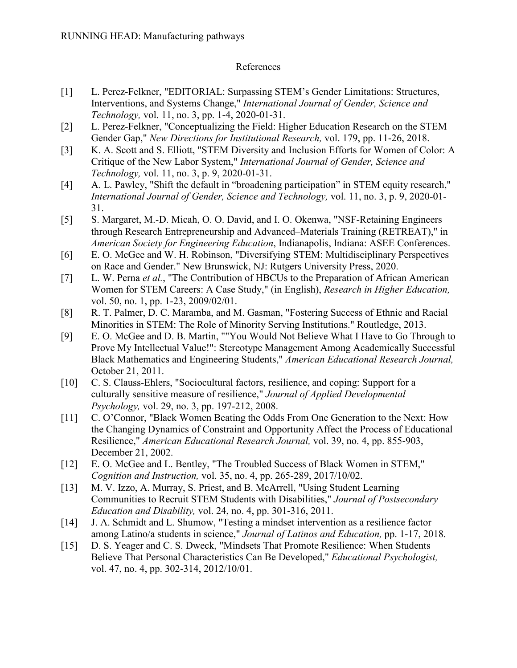### References

- <span id="page-13-0"></span>[1] L. Perez-Felkner, "EDITORIAL: Surpassing STEM's Gender Limitations: Structures, Interventions, and Systems Change," *International Journal of Gender, Science and Technology,* vol. 11, no. 3, pp. 1-4, 2020-01-31.
- <span id="page-13-1"></span>[2] L. Perez-Felkner, "Conceptualizing the Field: Higher Education Research on the STEM Gender Gap," *New Directions for Institutional Research,* vol. 179, pp. 11-26, 2018.
- <span id="page-13-2"></span>[3] K. A. Scott and S. Elliott, "STEM Diversity and Inclusion Efforts for Women of Color: A Critique of the New Labor System," *International Journal of Gender, Science and Technology,* vol. 11, no. 3, p. 9, 2020-01-31.
- <span id="page-13-3"></span>[4] A. L. Pawley, "Shift the default in "broadening participation" in STEM equity research," *International Journal of Gender, Science and Technology,* vol. 11, no. 3, p. 9, 2020-01- 31.
- <span id="page-13-4"></span>[5] S. Margaret, M.-D. Micah, O. O. David, and I. O. Okenwa, "NSF-Retaining Engineers through Research Entrepreneurship and Advanced–Materials Training (RETREAT)," in *American Society for Engineering Education*, Indianapolis, Indiana: ASEE Conferences.
- <span id="page-13-5"></span>[6] E. O. McGee and W. H. Robinson, "Diversifying STEM: Multidisciplinary Perspectives on Race and Gender." New Brunswick, NJ: Rutgers University Press, 2020.
- <span id="page-13-6"></span>[7] L. W. Perna *et al.*, "The Contribution of HBCUs to the Preparation of African American Women for STEM Careers: A Case Study," (in English), *Research in Higher Education,*  vol. 50, no. 1, pp. 1-23, 2009/02/01.
- <span id="page-13-7"></span>[8] R. T. Palmer, D. C. Maramba, and M. Gasman, "Fostering Success of Ethnic and Racial Minorities in STEM: The Role of Minority Serving Institutions." Routledge, 2013.
- <span id="page-13-8"></span>[9] E. O. McGee and D. B. Martin, ""You Would Not Believe What I Have to Go Through to Prove My Intellectual Value!": Stereotype Management Among Academically Successful Black Mathematics and Engineering Students," *American Educational Research Journal,*  October 21, 2011.
- <span id="page-13-9"></span>[10] C. S. Clauss-Ehlers, "Sociocultural factors, resilience, and coping: Support for a culturally sensitive measure of resilience," *Journal of Applied Developmental Psychology,* vol. 29, no. 3, pp. 197-212, 2008.
- [11] C. O'Connor, "Black Women Beating the Odds From One Generation to the Next: How the Changing Dynamics of Constraint and Opportunity Affect the Process of Educational Resilience," *American Educational Research Journal,* vol. 39, no. 4, pp. 855-903, December 21, 2002.
- [12] E. O. McGee and L. Bentley, "The Troubled Success of Black Women in STEM," *Cognition and Instruction,* vol. 35, no. 4, pp. 265-289, 2017/10/02.
- <span id="page-13-10"></span>[13] M. V. Izzo, A. Murray, S. Priest, and B. McArrell, "Using Student Learning Communities to Recruit STEM Students with Disabilities," *Journal of Postsecondary Education and Disability,* vol. 24, no. 4, pp. 301-316, 2011.
- <span id="page-13-11"></span>[14] J. A. Schmidt and L. Shumow, "Testing a mindset intervention as a resilience factor among Latino/a students in science," *Journal of Latinos and Education,* pp. 1-17, 2018.
- <span id="page-13-12"></span>[15] D. S. Yeager and C. S. Dweck, "Mindsets That Promote Resilience: When Students Believe That Personal Characteristics Can Be Developed," *Educational Psychologist,*  vol. 47, no. 4, pp. 302-314, 2012/10/01.